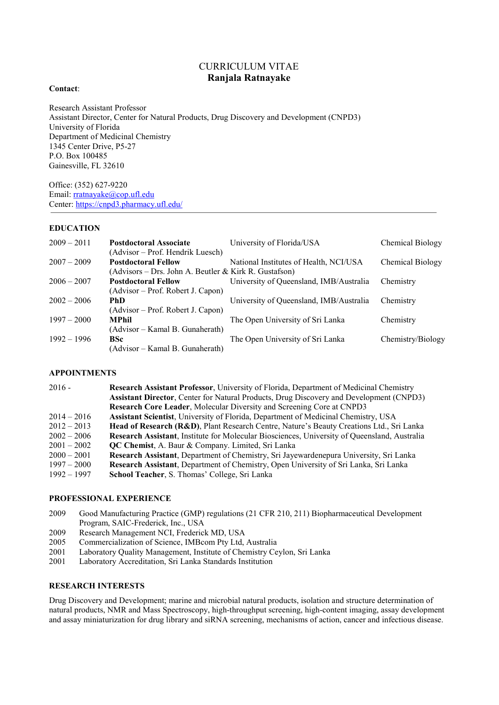# CURRICULUM VITAE **Ranjala Ratnayake**

#### **Contact**:

Research Assistant Professor Assistant Director, Center for Natural Products, Drug Discovery and Development (CNPD3) University of Florida Department of Medicinal Chemistry 1345 Center Drive, P5-27 P.O. Box 100485 Gainesville, FL 32610

Office: (352) 627-9220 Email[: rratnayake@cop.ufl.edu](mailto:rratnayake@cop.ufl.edu) Center: <https://cnpd3.pharmacy.ufl.edu/>

### **EDUCATION**

| $2009 - 2011$ | <b>Postdoctoral Associate</b>                                                       | University of Florida/USA               | Chemical Biology  |
|---------------|-------------------------------------------------------------------------------------|-----------------------------------------|-------------------|
|               | (Advisor – Prof. Hendrik Luesch)                                                    |                                         |                   |
| $2007 - 2009$ | <b>Postdoctoral Fellow</b><br>(Advisors – Drs. John A. Beutler & Kirk R. Gustafson) | National Institutes of Health, NCI/USA  | Chemical Biology  |
| $2006 - 2007$ | <b>Postdoctoral Fellow</b>                                                          | University of Queensland, IMB/Australia | Chemistry         |
|               | (Advisor – Prof. Robert J. Capon)                                                   |                                         |                   |
| $2002 - 2006$ | <b>PhD</b>                                                                          | University of Queensland, IMB/Australia | Chemistry         |
|               | (Advisor – Prof. Robert J. Capon)                                                   |                                         |                   |
| $1997 - 2000$ | <b>MPhil</b>                                                                        | The Open University of Sri Lanka        | Chemistry         |
|               | (Advisor – Kamal B. Gunaherath)                                                     |                                         |                   |
| $1992 - 1996$ | <b>BSc</b>                                                                          | The Open University of Sri Lanka        | Chemistry/Biology |
|               | (Advisor – Kamal B. Gunaherath)                                                     |                                         |                   |

# **APPOINTMENTS**

| $2016 -$      | Research Assistant Professor, University of Florida, Department of Medicinal Chemistry              |  |
|---------------|-----------------------------------------------------------------------------------------------------|--|
|               | <b>Assistant Director, Center for Natural Products, Drug Discovery and Development (CNPD3)</b>      |  |
|               | Research Core Leader, Molecular Diversity and Screening Core at CNPD3                               |  |
| $2014 - 2016$ | Assistant Scientist, University of Florida, Department of Medicinal Chemistry, USA                  |  |
| $2012 - 2013$ | Head of Research (R&D), Plant Research Centre, Nature's Beauty Creations Ltd., Sri Lanka            |  |
| $2002 - 2006$ | <b>Research Assistant, Institute for Molecular Biosciences, University of Queensland, Australia</b> |  |
| $2001 - 2002$ | <b>QC Chemist, A. Baur &amp; Company. Limited, Sri Lanka</b>                                        |  |
| $2000 - 2001$ | Research Assistant, Department of Chemistry, Sri Jayewardenepura University, Sri Lanka              |  |
| $1997 - 2000$ | Research Assistant, Department of Chemistry, Open University of Sri Lanka, Sri Lanka                |  |
| $1992 - 1997$ | School Teacher, S. Thomas' College, Sri Lanka                                                       |  |

### **PROFESSIONAL EXPERIENCE**

- 2009 Good Manufacturing Practice (GMP) regulations (21 CFR 210, 211) Biopharmaceutical Development Program, SAIC-Frederick, Inc., USA
- 2009 Research Management NCI, Frederick MD, USA
- 2005 Commercialization of Science, IMBcom Pty Ltd, Australia
- 2001 Laboratory Quality Management, Institute of Chemistry Ceylon, Sri Lanka
- 2001 Laboratory Accreditation, Sri Lanka Standards Institution

# **RESEARCH INTERESTS**

Drug Discovery and Development; marine and microbial natural products, isolation and structure determination of natural products, NMR and Mass Spectroscopy, high-throughput screening, high-content imaging, assay development and assay miniaturization for drug library and siRNA screening, mechanisms of action, cancer and infectious disease.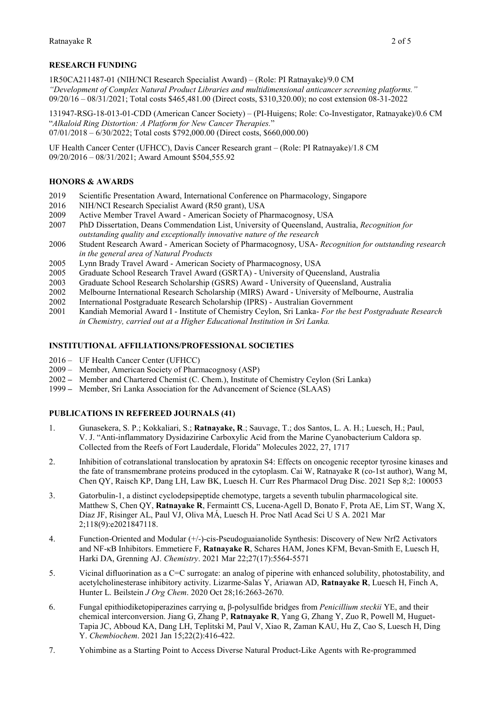# **RESEARCH FUNDING**

1R50CA211487-01 (NIH/NCI Research Specialist Award) – (Role: PI Ratnayake)/9.0 CM *"Development of Complex Natural Product Libraries and multidimensional anticancer screening platforms."* 09/20/16 – 08/31/2021; Total costs \$465,481.00 (Direct costs, \$310,320.00); no cost extension 08-31-2022

131947-RSG-18-013-01-CDD (American Cancer Society) – (PI-Huigens; Role: Co-Investigator, Ratnayake)/0.6 CM "*Alkaloid Ring Distortion: A Platform for New Cancer Therapies.*" 07/01/2018 – 6/30/2022; Total costs \$792,000.00 (Direct costs, \$660,000.00)

UF Health Cancer Center (UFHCC), Davis Cancer Research grant – (Role: PI Ratnayake)/1.8 CM 09/20/2016 – 08/31/2021; Award Amount \$504,555.92

# **HONORS & AWARDS**

- 2019 Scientific Presentation Award, International Conference on Pharmacology, Singapore<br>2016 NIH/NCI Research Specialist Award (R50 grant). USA
- 2016 NIH/NCI Research Specialist Award (R50 grant), USA<br>2009 Active Member Travel Award American Society of Ph
- Active Member Travel Award American Society of Pharmacognosy, USA
- 2007 PhD Dissertation, Deans Commendation List, University of Queensland, Australia, *Recognition for outstanding quality and exceptionally innovative nature of the research*
- 2006 Student Research Award American Society of Pharmacognosy, USA- *Recognition for outstanding research in the general area of Natural Products*
- 2005 Lynn Brady Travel Award American Society of Pharmacognosy, USA<br>2005 Graduate School Research Travel Award (GSRTA) University of Ouee
- Graduate School Research Travel Award (GSRTA) University of Queensland, Australia
- 2003 Graduate School Research Scholarship (GSRS) Award University of Queensland, Australia
- 2002 Melbourne International Research Scholarship (MIRS) Award University of Melbourne, Australia<br>2002 International Postgraduate Research Scholarship (IPRS) Australian Government
- International Postgraduate Research Scholarship (IPRS) Australian Government
- 2001 Kandiah Memorial Award I Institute of Chemistry Ceylon, Sri Lanka- *For the best Postgraduate Research in Chemistry, carried out at a Higher Educational Institution in Sri Lanka.*

### **INSTITUTIONAL AFFILIATIONS/PROFESSIONAL SOCIETIES**

- 2016 UF Health Cancer Center (UFHCC)
- 2009 Member, American Society of Pharmacognosy (ASP)
- 2002 **–** Member and Chartered Chemist (C. Chem.), Institute of Chemistry Ceylon (Sri Lanka)
- 1999 **–** Member, Sri Lanka Association for the Advancement of Science (SLAAS)

# **PUBLICATIONS IN REFEREED JOURNALS (41)**

- 1. Gunasekera, S. P.; Kokkaliari, S.; **Ratnayake, R**.; Sauvage, T.; dos Santos, L. A. H.; Luesch, H.; Paul, V. J. "Anti-inflammatory Dysidazirine Carboxylic Acid from the Marine Cyanobacterium Caldora sp. Collected from the Reefs of Fort Lauderdale, Florida" Molecules 2022, 27, 1717
- 2. Inhibition of cotranslational translocation by apratoxin S4: Effects on oncogenic receptor tyrosine kinases and the fate of transmembrane proteins produced in the cytoplasm. Cai W, Ratnayake R (co-1st author), Wang M, Chen QY, Raisch KP, Dang LH, Law BK, Luesch H. Curr Res Pharmacol Drug Disc. 2021 Sep 8;2: 100053
- 3. Gatorbulin-1, a distinct cyclodepsipeptide chemotype, targets a seventh tubulin pharmacological site. Matthew S, Chen QY, **Ratnayake R**, Fermaintt CS, Lucena-Agell D, Bonato F, Prota AE, Lim ST, Wang X, Díaz JF, Risinger AL, Paul VJ, Oliva MÁ, Luesch H. Proc Natl Acad Sci U S A. 2021 Mar 2;118(9):e2021847118.
- 4. Function-Oriented and Modular (+/-)-cis-Pseudoguaianolide Synthesis: Discovery of New Nrf2 Activators and NF-κB Inhibitors. Emmetiere F, **Ratnayake R**, Schares HAM, Jones KFM, Bevan-Smith E, Luesch H, Harki DA, Grenning AJ. *Chemistry*. 2021 Mar 22;27(17):5564-5571
- 5. Vicinal difluorination as a C=C surrogate: an analog of piperine with enhanced solubility, photostability, and acetylcholinesterase inhibitory activity. Lizarme-Salas Y, Ariawan AD, **Ratnayake R**, Luesch H, Finch A, Hunter L. Beilstein *J Org Chem*. 2020 Oct 28;16:2663-2670.
- 6. Fungal epithiodiketopiperazines carrying α, β-polysulfide bridges from *Penicillium steckii* YE, and their chemical interconversion. Jiang G, Zhang P, **Ratnayake R**, Yang G, Zhang Y, Zuo R, Powell M, Huguet-Tapia JC, Abboud KA, Dang LH, Teplitski M, Paul V, Xiao R, Zaman KAU, Hu Z, Cao S, Luesch H, Ding Y. *Chembiochem*. 2021 Jan 15;22(2):416-422.
- 7. Yohimbine as a Starting Point to Access Diverse Natural Product-Like Agents with Re-programmed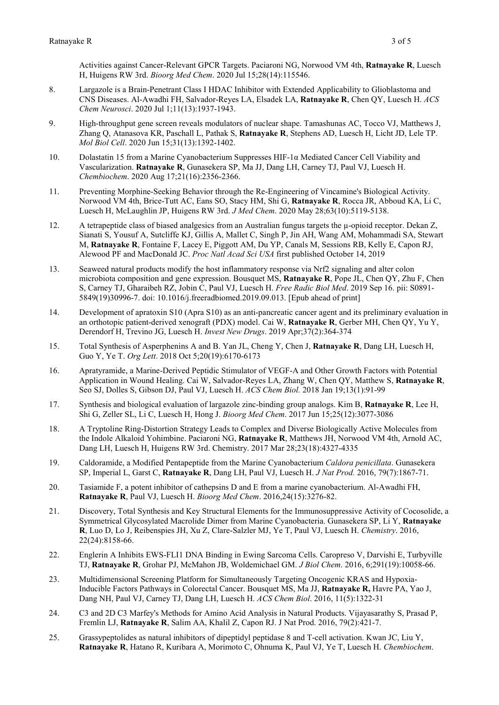Activities against Cancer-Relevant GPCR Targets. Paciaroni NG, Norwood VM 4th, **Ratnayake R**, Luesch H, Huigens RW 3rd. *Bioorg Med Chem*. 2020 Jul 15;28(14):115546.

- 8. Largazole is a Brain-Penetrant Class I HDAC Inhibitor with Extended Applicability to Glioblastoma and CNS Diseases. Al-Awadhi FH, Salvador-Reyes LA, Elsadek LA, **Ratnayake R**, Chen QY, Luesch H. *ACS Chem Neurosci*. 2020 Jul 1;11(13):1937-1943.
- 9. High-throughput gene screen reveals modulators of nuclear shape. Tamashunas AC, Tocco VJ, Matthews J, Zhang Q, Atanasova KR, Paschall L, Pathak S, **Ratnayake R**, Stephens AD, Luesch H, Licht JD, Lele TP. *Mol Biol Cell*. 2020 Jun 15;31(13):1392-1402.
- 10. Dolastatin 15 from a Marine Cyanobacterium Suppresses HIF-1α Mediated Cancer Cell Viability and Vascularization. **Ratnayake R**, Gunasekera SP, Ma JJ, Dang LH, Carney TJ, Paul VJ, Luesch H. *Chembiochem*. 2020 Aug 17;21(16):2356-2366.
- 11. Preventing Morphine-Seeking Behavior through the Re-Engineering of Vincamine's Biological Activity. Norwood VM 4th, Brice-Tutt AC, Eans SO, Stacy HM, Shi G, **Ratnayake R**, Rocca JR, Abboud KA, Li C, Luesch H, McLaughlin JP, Huigens RW 3rd. *J Med Chem*. 2020 May 28;63(10):5119-5138.
- 12. A tetrapeptide class of biased analgesics from an Australian fungus targets the  $\mu$ -opioid receptor. Dekan Z, Sianati S, Yousuf A, Sutcliffe KJ, Gillis A, Mallet C, Singh P, Jin AH, Wang AM, Mohammadi SA, Stewart M, **Ratnayake R**, Fontaine F, Lacey E, Piggott AM, Du YP, Canals M, Sessions RB, Kelly E, Capon RJ, Alewood PF and MacDonald JC. *Proc Natl Acad Sci USA* first published October 14, 2019
- 13. Seaweed natural products modify the host inflammatory response via Nrf2 signaling and alter colon microbiota composition and gene expression. Bousquet MS, **Ratnayake R**, Pope JL, Chen QY, Zhu F, Chen S, Carney TJ, Gharaibeh RZ, Jobin C, Paul VJ, Luesch H. *Free Radic Biol Med*. 2019 Sep 16. pii: S0891- 5849(19)30996-7. doi: 10.1016/j.freeradbiomed.2019.09.013. [Epub ahead of print]
- 14. Development of apratoxin S10 (Apra S10) as an anti-pancreatic cancer agent and its preliminary evaluation in an orthotopic patient-derived xenograft (PDX) model. Cai W, **Ratnayake R**, Gerber MH, Chen QY, Yu Y, Derendorf H, Trevino JG, Luesch H. *Invest New Drugs*. 2019 Apr;37(2):364-374
- 15. Total Synthesis of Asperphenins A and B. Yan JL, Cheng Y, Chen J, **Ratnayake R**, Dang LH, Luesch H, Guo Y, Ye T. *Org Lett*. 2018 Oct 5;20(19):6170-6173
- 16. Apratyramide, a Marine-Derived Peptidic Stimulator of VEGF-A and Other Growth Factors with Potential Application in Wound Healing. Cai W, Salvador-Reyes LA, Zhang W, Chen QY, Matthew S, **Ratnayake R**, Seo SJ, Dolles S, Gibson DJ, Paul VJ, Luesch H. *ACS Chem Biol.* 2018 Jan 19;13(1):91-99
- 17. Synthesis and biological evaluation of largazole zinc-binding group analogs. Kim B, **Ratnayake R**, Lee H, Shi G, Zeller SL, Li C, Luesch H, Hong J. *Bioorg Med Chem*. 2017 Jun 15;25(12):3077-3086
- 18. A Tryptoline Ring-Distortion Strategy Leads to Complex and Diverse Biologically Active Molecules from the Indole Alkaloid Yohimbine. Paciaroni NG, **Ratnayake R**, Matthews JH, Norwood VM 4th, Arnold AC, Dang LH, Luesch H, Huigens RW 3rd. Chemistry. 2017 Mar 28;23(18):4327-4335
- 19. Caldoramide, a Modified Pentapeptide from the Marine Cyanobacterium *Caldora penicillata*. Gunasekera SP, Imperial L, Garst C, **Ratnayake R**, Dang LH, Paul VJ, Luesch H. *J Nat Prod.* 2016, 79(7):1867-71.
- 20. Tasiamide F, a potent inhibitor of cathepsins D and E from a marine cyanobacterium. Al-Awadhi FH, **Ratnayake R**, Paul VJ, Luesch H. *Bioorg Med Chem*. 2016,24(15):3276-82.
- 21. Discovery, Total Synthesis and Key Structural Elements for the Immunosuppressive Activity of Cocosolide, a Symmetrical Glycosylated Macrolide Dimer from Marine Cyanobacteria. Gunasekera SP, Li Y, **Ratnayake R**, Luo D, Lo J, Reibenspies JH, Xu Z, Clare-Salzler MJ, Ye T, Paul VJ, Luesch H. *Chemistry*. 2016, 22(24):8158-66.
- 22. Englerin A Inhibits EWS-FLI1 DNA Binding in Ewing Sarcoma Cells. Caropreso V, Darvishi E, Turbyville TJ, **Ratnayake R**, Grohar PJ, McMahon JB, Woldemichael GM. *J Biol Chem*. 2016, 6;291(19):10058-66.
- 23. Multidimensional Screening Platform for Simultaneously Targeting Oncogenic KRAS and Hypoxia-Inducible Factors Pathways in Colorectal Cancer. Bousquet MS, Ma JJ, **Ratnayake R,** Havre PA, Yao J, Dang NH, Paul VJ, Carney TJ, Dang LH, Luesch H. *ACS Chem Biol*. 2016, 11(5):1322-31
- 24. C3 and 2D C3 Marfey's Methods for Amino Acid Analysis in Natural Products. Vijayasarathy S, Prasad P, Fremlin LJ, **Ratnayake R**, Salim AA, Khalil Z, Capon RJ. J Nat Prod. 2016, 79(2):421-7.
- 25. Grassypeptolides as natural inhibitors of dipeptidyl peptidase 8 and T-cell activation. Kwan JC, Liu Y, **Ratnayake R**, Hatano R, Kuribara A, Morimoto C, Ohnuma K, Paul VJ, Ye T, Luesch H. *Chembiochem*.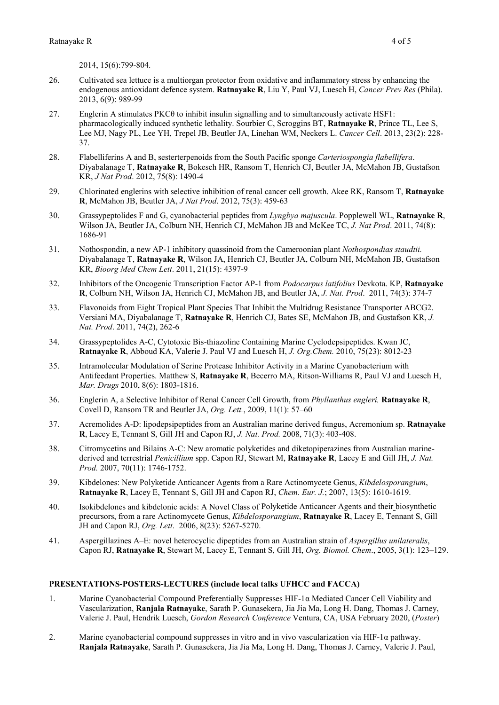2014, 15(6):799-804.

- 26. Cultivated sea lettuce is a multiorgan protector from oxidative and inflammatory stress by enhancing the endogenous antioxidant defence system. **Ratnayake R**, Liu Y, Paul VJ, Luesch H, *Cancer Prev Res* (Phila). 2013, 6(9): 989-99
- 27. Englerin A stimulates PKCθ to inhibit insulin signalling and to simultaneously activate HSF1: pharmacologically induced synthetic lethality. Sourbier C, Scroggins BT, **Ratnayake R**, Prince TL, Lee S, Lee MJ, Nagy PL, Lee YH, Trepel JB, Beutler JA, Linehan WM, Neckers L. *Cancer Cell*. 2013, 23(2): 228- 37.
- 28. Flabelliferins A and B, sesterterpenoids from the South Pacific sponge *Carteriospongia flabellifera*. Diyabalanage T, **Ratnayake R**, Bokesch HR, Ransom T, Henrich CJ, Beutler JA, McMahon JB, Gustafson KR, *J Nat Prod*. 2012, 75(8): 1490-4
- 29. Chlorinated englerins with selective inhibition of renal cancer cell growth. Akee RK, Ransom T, **Ratnayake R**, McMahon JB, Beutler JA, *J Nat Prod*. 2012, 75(3): 459-63
- 30. Grassypeptolides F and G, cyanobacterial peptides from *Lyngbya majuscula*. Popplewell WL, **Ratnayake R**, Wilson JA, Beutler JA, Colburn NH, Henrich CJ, McMahon JB and McKee TC, *J. Nat Prod*. 2011, 74(8): 1686-91
- 31. Nothospondin, a new AP-1 inhibitory quassinoid from the Cameroonian plant *Nothospondias staudtii.* Diyabalanage T, **Ratnayake R**, Wilson JA, Henrich CJ, Beutler JA, Colburn NH, McMahon JB, Gustafson KR, *Bioorg Med Chem Lett*. 2011, 21(15): 4397-9
- 32. Inhibitors of the Oncogenic Transcription Factor AP-1 from *Podocarpus latifolius* Devkota. KP, **Ratnayake R**, Colburn NH, Wilson JA, Henrich CJ, McMahon JB, and Beutler JA, *J. Nat. Prod*. 2011, 74(3): 374-7
- 33. Flavonoids from Eight Tropical Plant Species That Inhibit the Multidrug Resistance Transporter ABCG2. Versiani MA, Diyabalanage T, **Ratnayake R**, Henrich CJ, Bates SE, McMahon JB, and Gustafson KR, *J. Nat. Prod*. 2011, 74(2), 262-6
- 34. Grassypeptolides A-C, Cytotoxic Bis-thiazoline Containing Marine Cyclodepsipeptides. Kwan JC, **Ratnayake R**, Abboud KA, Valerie J. Paul VJ and Luesch H, *J. Org.Chem.* 2010, 75(23): 8012-23
- 35. Intramolecular Modulation of Serine Protease Inhibitor Activity in a Marine Cyanobacterium with Antifeedant Properties. Matthew S, **Ratnayake R**, Becerro MA, Ritson-Williams R, Paul VJ and Luesch H, *Mar. Drugs* 2010, 8(6): 1803-1816.
- 36. Englerin A, a Selective Inhibitor of Renal Cancer Cell Growth, from *Phyllanthus engleri,* **Ratnayake R**, Covell D, Ransom TR and Beutler JA, *Org. Lett.*, 2009, 11(1): 57–60
- 37. Acremolides A-D: lipodepsipeptides from an Australian marine derived fungus, Acremonium sp. **Ratnayake R**, Lacey E, Tennant S, Gill JH and Capon RJ, *J. Nat. Prod.* 2008, 71(3): 403-408.
- 38. Citromycetins and Bilains A-C: New aromatic polyketides and diketopiperazines from Australian marinederived and terrestrial *Penicillium* spp. Capon RJ, Stewart M, **Ratnayake R**, Lacey E and Gill JH, *J. Nat. Prod.* 2007, 70(11): 1746-1752.
- 39. Kibdelones: New Polyketide Anticancer Agents from a Rare Actinomycete Genus, *Kibdelosporangium*, **Ratnayake R**, Lacey E, Tennant S, Gill JH and Capon RJ, *Chem. Eur. J.*; 2007, 13(5): 1610-1619.
- 40. Isokibdelones and kibdelonic acids: A Novel Class of Polyketide Anticancer Agents and their biosynthetic precursors, from a rare Actinomycete Genus, *Kibdelosporangium*, **Ratnayake R**, Lacey E, Tennant S, Gill JH and Capon RJ, *Org. Lett*. 2006, 8(23): 5267-5270.
- 41. Aspergillazines A–E: novel heterocyclic dipeptides from an Australian strain of *Aspergillus unilateralis*, Capon RJ, **Ratnayake R**, Stewart M, Lacey E, Tennant S, Gill JH, *Org. Biomol. Chem*., 2005, 3(1): 123–129.

#### **PRESENTATIONS-POSTERS-LECTURES (include local talks UFHCC and FACCA)**

- 1. Marine Cyanobacterial Compound Preferentially Suppresses HIF-1α Mediated Cancer Cell Viability and Vascularization, **Ranjala Ratnayake**, Sarath P. Gunasekera, Jia Jia Ma, Long H. Dang, Thomas J. Carney, Valerie J. Paul, Hendrik Luesch, *Gordon Research Conference* Ventura, CA, USA February 2020, (*Poster*)
- 2. Marine cyanobacterial compound suppresses in vitro and in vivo vascularization via HIF-1α pathway. **Ranjala Ratnayake**, Sarath P. Gunasekera, Jia Jia Ma, Long H. Dang, Thomas J. Carney, Valerie J. Paul,